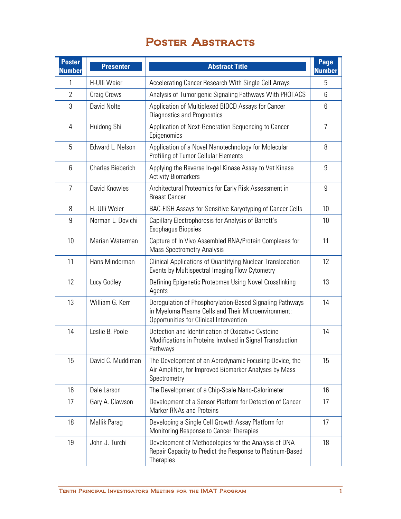## POSTER ABSTRACTS

| <b>Poster</b><br><b>Number</b> | <b>Presenter</b>         | <b>Abstract Title</b>                                                                                                                                      | Page<br><b>Number</b> |
|--------------------------------|--------------------------|------------------------------------------------------------------------------------------------------------------------------------------------------------|-----------------------|
| 1                              | H-Ulli Weier             | Accelerating Cancer Research With Single Cell Arrays                                                                                                       | 5                     |
| $\overline{2}$                 | Craig Crews              | Analysis of Tumorigenic Signaling Pathways With PROTACS                                                                                                    | 6                     |
| 3                              | David Nolte              | Application of Multiplexed BIOCD Assays for Cancer<br>Diagnostics and Prognostics                                                                          | 6                     |
| 4                              | Huidong Shi              | Application of Next-Generation Sequencing to Cancer<br>Epigenomics                                                                                         | $\overline{7}$        |
| 5                              | Edward L. Nelson         | Application of a Novel Nanotechnology for Molecular<br><b>Profiling of Tumor Cellular Elements</b>                                                         | 8                     |
| 6                              | <b>Charles Bieberich</b> | Applying the Reverse In-gel Kinase Assay to Vet Kinase<br><b>Activity Biomarkers</b>                                                                       | 9                     |
| 7                              | David Knowles            | Architectural Proteomics for Early Risk Assessment in<br><b>Breast Cancer</b>                                                                              | 9                     |
| 8                              | H.-Ulli Weier            | BAC-FISH Assays for Sensitive Karyotyping of Cancer Cells                                                                                                  | 10                    |
| 9                              | Norman L. Dovichi        | Capillary Electrophoresis for Analysis of Barrett's<br><b>Esophagus Biopsies</b>                                                                           | 10                    |
| 10                             | Marian Waterman          | Capture of In Vivo Assembled RNA/Protein Complexes for<br><b>Mass Spectrometry Analysis</b>                                                                | 11                    |
| 11                             | Hans Minderman           | Clinical Applications of Quantifying Nuclear Translocation<br>Events by Multispectral Imaging Flow Cytometry                                               | 12                    |
| 12                             | Lucy Godley              | Defining Epigenetic Proteomes Using Novel Crosslinking<br>Agents                                                                                           | 13                    |
| 13                             | William G. Kerr          | Deregulation of Phosphorylation-Based Signaling Pathways<br>in Myeloma Plasma Cells and Their Microenvironment:<br>Opportunities for Clinical Intervention | 14                    |
| 14                             | Leslie B. Poole          | Detection and Identification of Oxidative Cysteine<br>Modifications in Proteins Involved in Signal Transduction<br>Pathways                                | 14                    |
| 15                             | David C. Muddiman        | The Development of an Aerodynamic Focusing Device, the<br>Air Amplifier, for Improved Biomarker Analyses by Mass<br>Spectrometry                           | 15                    |
| 16                             | Dale Larson              | The Development of a Chip-Scale Nano-Calorimeter                                                                                                           | 16                    |
| 17                             | Gary A. Clawson          | Development of a Sensor Platform for Detection of Cancer<br><b>Marker RNAs and Proteins</b>                                                                | 17                    |
| 18                             | Mallik Parag             | Developing a Single Cell Growth Assay Platform for<br>Monitoring Response to Cancer Therapies                                                              | 17                    |
| 19                             | John J. Turchi           | Development of Methodologies for the Analysis of DNA<br>Repair Capacity to Predict the Response to Platinum-Based<br>Therapies                             | 18                    |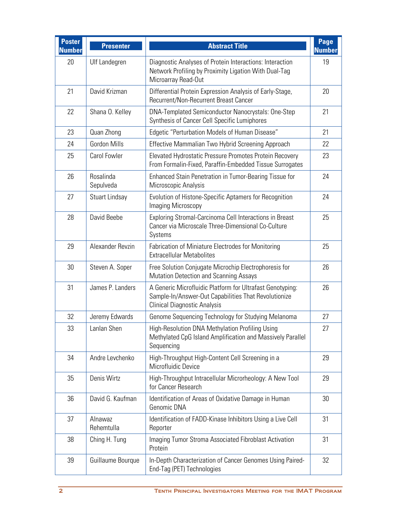| <b>Poster</b><br><b>Number</b> | <b>Presenter</b>       | <b>Abstract Title</b>                                                                                                                                    | Page<br><b>Number</b> |
|--------------------------------|------------------------|----------------------------------------------------------------------------------------------------------------------------------------------------------|-----------------------|
| 20                             | Ulf Landegren          | Diagnostic Analyses of Protein Interactions: Interaction<br>Network Profiling by Proximity Ligation With Dual-Tag<br>Microarray Read-Out                 | 19                    |
| 21                             | David Krizman          | Differential Protein Expression Analysis of Early-Stage,<br>Recurrent/Non-Recurrent Breast Cancer                                                        | 20                    |
| 22                             | Shana O. Kelley        | <b>DNA-Templated Semiconductor Nanocrystals: One-Step</b><br>Synthesis of Cancer Cell Specific Lumiphores                                                | 21                    |
| 23                             | Quan Zhong             | Edgetic "Perturbation Models of Human Disease"                                                                                                           | 21                    |
| 24                             | Gordon Mills           | Effective Mammalian Two Hybrid Screening Approach                                                                                                        | 22                    |
| 25                             | Carol Fowler           | Elevated Hydrostatic Pressure Promotes Protein Recovery<br>From Formalin-Fixed, Paraffin-Embedded Tissue Surrogates                                      | 23                    |
| 26                             | Rosalinda<br>Sepulveda | Enhanced Stain Penetration in Tumor-Bearing Tissue for<br>Microscopic Analysis                                                                           | 24                    |
| 27                             | Stuart Lindsay         | Evolution of Histone-Specific Aptamers for Recognition<br>Imaging Microscopy                                                                             | 24                    |
| 28                             | David Beebe            | Exploring Stromal-Carcinoma Cell Interactions in Breast<br>Cancer via Microscale Three-Dimensional Co-Culture<br>Systems                                 | 25                    |
| 29                             | Alexander Revzin       | Fabrication of Miniature Electrodes for Monitoring<br><b>Extracellular Metabolites</b>                                                                   | 25                    |
| 30                             | Steven A. Soper        | Free Solution Conjugate Microchip Electrophoresis for<br><b>Mutation Detection and Scanning Assays</b>                                                   | 26                    |
| 31                             | James P. Landers       | A Generic Microfluidic Platform for Ultrafast Genotyping:<br>Sample-In/Answer-Out Capabilities That Revolutionize<br><b>Clinical Diagnostic Analysis</b> | 26                    |
| 32                             | Jeremy Edwards         | Genome Sequencing Technology for Studying Melanoma                                                                                                       | 27                    |
| 33                             | Lanlan Shen            | High-Resolution DNA Methylation Profiling Using<br>Methylated CpG Island Amplification and Massively Parallel<br>Sequencing                              | 27                    |
| 34                             | Andre Levchenko        | High-Throughput High-Content Cell Screening in a<br>Microfluidic Device                                                                                  | 29                    |
| 35                             | Denis Wirtz            | High-Throughput Intracellular Microrheology: A New Tool<br>for Cancer Research                                                                           | 29                    |
| 36                             | David G. Kaufman       | Identification of Areas of Oxidative Damage in Human<br>Genomic DNA                                                                                      | 30                    |
| 37                             | Alnawaz<br>Rehemtulla  | Identification of FADD-Kinase Inhibitors Using a Live Cell<br>Reporter                                                                                   | 31                    |
| 38                             | Ching H. Tung          | Imaging Tumor Stroma Associated Fibroblast Activation<br>Protein                                                                                         | 31                    |
| 39                             | Guillaume Bourque      | In-Depth Characterization of Cancer Genomes Using Paired-<br>End-Tag (PET) Technologies                                                                  | 32                    |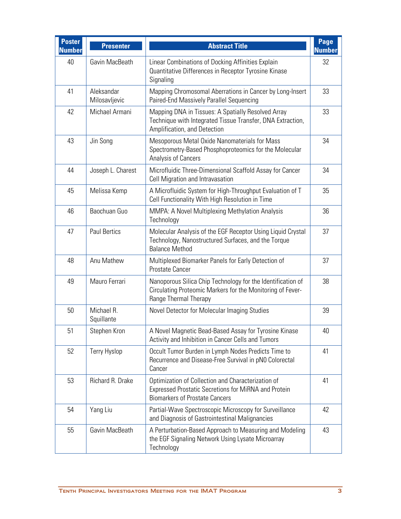| <b>Poster</b><br><b>Number</b> | <b>Presenter</b>            | <b>Abstract Title</b>                                                                                                                               | Page<br><b>Number</b> |
|--------------------------------|-----------------------------|-----------------------------------------------------------------------------------------------------------------------------------------------------|-----------------------|
| 40                             | Gavin MacBeath              | Linear Combinations of Docking Affinities Explain<br>Quantitative Differences in Receptor Tyrosine Kinase<br>Signaling                              | 32                    |
| 41                             | Aleksandar<br>Milosavljevic | Mapping Chromosomal Aberrations in Cancer by Long-Insert<br>Paired-End Massively Parallel Sequencing                                                | 33                    |
| 42                             | Michael Armani              | Mapping DNA in Tissues: A Spatially Resolved Array<br>Technique with Integrated Tissue Transfer, DNA Extraction,<br>Amplification, and Detection    | 33                    |
| 43                             | Jin Song                    | Mesoporous Metal Oxide Nanomaterials for Mass<br>Spectrometry-Based Phosphoproteomics for the Molecular<br>Analysis of Cancers                      | 34                    |
| 44                             | Joseph L. Charest           | Microfluidic Three-Dimensional Scaffold Assay for Cancer<br>Cell Migration and Intravasation                                                        | 34                    |
| 45                             | Melissa Kemp                | A Microfluidic System for High-Throughput Evaluation of T<br>Cell Functionality With High Resolution in Time                                        | 35                    |
| 46                             | Baochuan Guo                | MMPA: A Novel Multiplexing Methylation Analysis<br>Technology                                                                                       | 36                    |
| 47                             | <b>Paul Bertics</b>         | Molecular Analysis of the EGF Receptor Using Liquid Crystal<br>Technology, Nanostructured Surfaces, and the Torque<br><b>Balance Method</b>         | 37                    |
| 48                             | Anu Mathew                  | Multiplexed Biomarker Panels for Early Detection of<br>Prostate Cancer                                                                              | 37                    |
| 49                             | Mauro Ferrari               | Nanoporous Silica Chip Technology for the Identification of<br>Circulating Proteomic Markers for the Monitoring of Fever-<br>Range Thermal Therapy  | 38                    |
| 50                             | Michael R.<br>Squillante    | Novel Detector for Molecular Imaging Studies                                                                                                        | 39                    |
| 51                             | Stephen Kron                | A Novel Magnetic Bead-Based Assay for Tyrosine Kinase<br>Activity and Inhibition in Cancer Cells and Tumors                                         | 40                    |
| 52                             | <b>Terry Hyslop</b>         | Occult Tumor Burden in Lymph Nodes Predicts Time to<br>Recurrence and Disease-Free Survival in pN0 Colorectal<br>Cancer                             | 41                    |
| 53                             | Richard R. Drake            | Optimization of Collection and Characterization of<br>Expressed Prostatic Secretions for MiRNA and Protein<br><b>Biomarkers of Prostate Cancers</b> | 41                    |
| 54                             | Yang Liu                    | Partial-Wave Spectroscopic Microscopy for Surveillance<br>and Diagnosis of Gastrointestinal Malignancies                                            | 42                    |
| 55                             | Gavin MacBeath              | A Perturbation-Based Approach to Measuring and Modeling<br>the EGF Signaling Network Using Lysate Microarray<br>Technology                          | 43                    |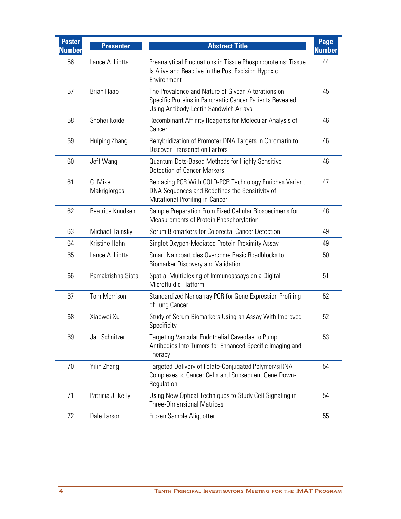| <b>Poster</b><br><b>Number</b> | <b>Presenter</b>        | <b>Abstract Title</b>                                                                                                                                          | Page<br><b>Number</b> |
|--------------------------------|-------------------------|----------------------------------------------------------------------------------------------------------------------------------------------------------------|-----------------------|
| 56                             | Lance A. Liotta         | Preanalytical Fluctuations in Tissue Phosphoproteins: Tissue<br>Is Alive and Reactive in the Post Excision Hypoxic<br>Environment                              | 44                    |
| 57                             | <b>Brian Haab</b>       | The Prevalence and Nature of Glycan Alterations on<br>Specific Proteins in Pancreatic Cancer Patients Revealed<br><b>Using Antibody-Lectin Sandwich Arrays</b> | 45                    |
| 58                             | Shohei Koide            | Recombinant Affinity Reagents for Molecular Analysis of<br>Cancer                                                                                              | 46                    |
| 59                             | Huiping Zhang           | Rehybridization of Promoter DNA Targets in Chromatin to<br><b>Discover Transcription Factors</b>                                                               | 46                    |
| 60                             | Jeff Wang               | Quantum Dots-Based Methods for Highly Sensitive<br>Detection of Cancer Markers                                                                                 | 46                    |
| 61                             | G. Mike<br>Makrigiorgos | Replacing PCR With COLD-PCR Technology Enriches Variant<br>DNA Sequences and Redefines the Sensitivity of<br><b>Mutational Profiling in Cancer</b>             | 47                    |
| 62                             | Beatrice Knudsen        | Sample Preparation From Fixed Cellular Biospecimens for<br>Measurements of Protein Phosphorylation                                                             | 48                    |
| 63                             | Michael Tainsky         | Serum Biomarkers for Colorectal Cancer Detection                                                                                                               | 49                    |
| 64                             | Kristine Hahn           | Singlet Oxygen-Mediated Protein Proximity Assay                                                                                                                | 49                    |
| 65                             | Lance A. Liotta         | Smart Nanoparticles Overcome Basic Roadblocks to<br><b>Biomarker Discovery and Validation</b>                                                                  | 50                    |
| 66                             | Ramakrishna Sista       | Spatial Multiplexing of Immunoassays on a Digital<br>Microfluidic Platform                                                                                     | 51                    |
| 67                             | <b>Tom Morrison</b>     | Standardized Nanoarray PCR for Gene Expression Profiling<br>of Lung Cancer                                                                                     | 52                    |
| 68                             | Xiaowei Xu              | Study of Serum Biomarkers Using an Assay With Improved<br>Specificity                                                                                          | 52                    |
| 69                             | Jan Schnitzer           | Targeting Vascular Endothelial Caveolae to Pump<br>Antibodies Into Tumors for Enhanced Specific Imaging and<br>Therapy                                         | 53                    |
| 70                             | Yilin Zhang             | Targeted Delivery of Folate-Conjugated Polymer/siRNA<br>Complexes to Cancer Cells and Subsequent Gene Down-<br>Regulation                                      | 54                    |
| 71                             | Patricia J. Kelly       | Using New Optical Techniques to Study Cell Signaling in<br><b>Three-Dimensional Matrices</b>                                                                   | 54                    |
| 72                             | Dale Larson             | Frozen Sample Aliquotter                                                                                                                                       | 55                    |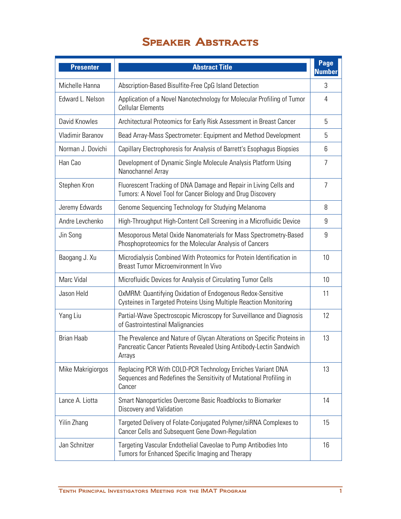## Speaker Abstracts

| <b>Presenter</b>  | <b>Abstract Title</b>                                                                                                                                   | Page<br><b>Number</b> |
|-------------------|---------------------------------------------------------------------------------------------------------------------------------------------------------|-----------------------|
| Michelle Hanna    | Abscription-Based Bisulfite-Free CpG Island Detection                                                                                                   | 3                     |
| Edward L. Nelson  | Application of a Novel Nanotechnology for Molecular Profiling of Tumor<br><b>Cellular Elements</b>                                                      | 4                     |
| David Knowles     | Architectural Proteomics for Early Risk Assessment in Breast Cancer                                                                                     | 5                     |
| Vladimir Baranov  | Bead Array-Mass Spectrometer: Equipment and Method Development                                                                                          | 5                     |
| Norman J. Dovichi | Capillary Electrophoresis for Analysis of Barrett's Esophagus Biopsies                                                                                  | 6                     |
| Han Cao           | Development of Dynamic Single Molecule Analysis Platform Using<br>Nanochannel Array                                                                     | 7                     |
| Stephen Kron      | Fluorescent Tracking of DNA Damage and Repair in Living Cells and<br>Tumors: A Novel Tool for Cancer Biology and Drug Discovery                         | $\overline{7}$        |
| Jeremy Edwards    | Genome Sequencing Technology for Studying Melanoma                                                                                                      | 8                     |
| Andre Levchenko   | High-Throughput High-Content Cell Screening in a Microfluidic Device                                                                                    | 9                     |
| Jin Song          | Mesoporous Metal Oxide Nanomaterials for Mass Spectrometry-Based<br>Phosphoproteomics for the Molecular Analysis of Cancers                             | 9                     |
| Baogang J. Xu     | Microdialysis Combined With Proteomics for Protein Identification in<br>Breast Tumor Microenvironment In Vivo                                           | 10                    |
| Marc Vidal        | Microfluidic Devices for Analysis of Circulating Tumor Cells                                                                                            | 10                    |
| Jason Held        | OxMRM: Quantifying Oxidation of Endogenous Redox-Sensitive<br>Cysteines in Targeted Proteins Using Multiple Reaction Monitoring                         | 11                    |
| Yang Liu          | Partial-Wave Spectroscopic Microscopy for Surveillance and Diagnosis<br>of Gastrointestinal Malignancies                                                | 12                    |
| <b>Brian Haab</b> | The Prevalence and Nature of Glycan Alterations on Specific Proteins in<br>Pancreatic Cancer Patients Revealed Using Antibody-Lectin Sandwich<br>Arrays | 13                    |
| Mike Makrigiorgos | Replacing PCR With COLD-PCR Technology Enriches Variant DNA<br>Sequences and Redefines the Sensitivity of Mutational Profiling in<br>Cancer             | 13                    |
| Lance A. Liotta   | Smart Nanoparticles Overcome Basic Roadblocks to Biomarker<br>Discovery and Validation                                                                  | 14                    |
| Yilin Zhang       | Targeted Delivery of Folate-Conjugated Polymer/siRNA Complexes to<br>Cancer Cells and Subsequent Gene Down-Regulation                                   | 15                    |
| Jan Schnitzer     | Targeting Vascular Endothelial Caveolae to Pump Antibodies Into<br>Tumors for Enhanced Specific Imaging and Therapy                                     | 16                    |